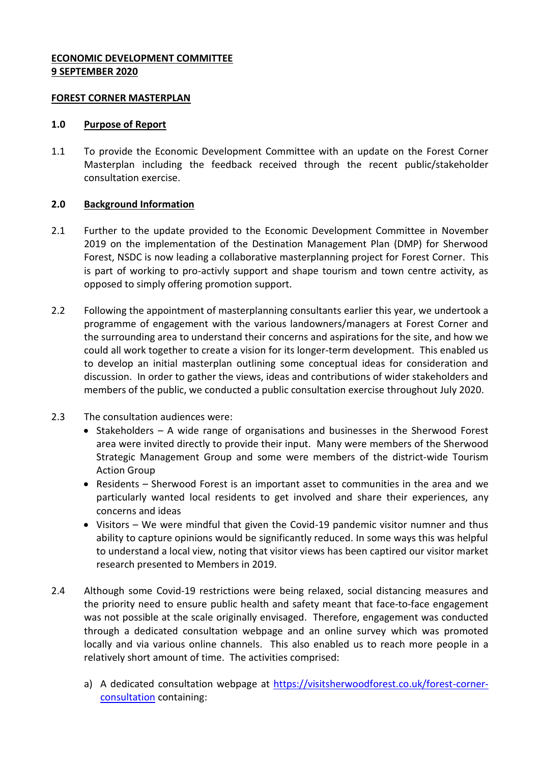### **ECONOMIC DEVELOPMENT COMMITTEE 9 SEPTEMBER 2020**

#### **FOREST CORNER MASTERPLAN**

### **1.0 Purpose of Report**

1.1 To provide the Economic Development Committee with an update on the Forest Corner Masterplan including the feedback received through the recent public/stakeholder consultation exercise.

# **2.0 Background Information**

- 2.1 Further to the update provided to the Economic Development Committee in November 2019 on the implementation of the Destination Management Plan (DMP) for Sherwood Forest, NSDC is now leading a collaborative masterplanning project for Forest Corner. This is part of working to pro-activly support and shape tourism and town centre activity, as opposed to simply offering promotion support.
- 2.2 Following the appointment of masterplanning consultants earlier this year, we undertook a programme of engagement with the various landowners/managers at Forest Corner and the surrounding area to understand their concerns and aspirations for the site, and how we could all work together to create a vision for its longer-term development. This enabled us to develop an initial masterplan outlining some conceptual ideas for consideration and discussion. In order to gather the views, ideas and contributions of wider stakeholders and members of the public, we conducted a public consultation exercise throughout July 2020.
- 2.3 The consultation audiences were:
	- Stakeholders A wide range of organisations and businesses in the Sherwood Forest area were invited directly to provide their input. Many were members of the Sherwood Strategic Management Group and some were members of the district-wide Tourism Action Group
	- Residents Sherwood Forest is an important asset to communities in the area and we particularly wanted local residents to get involved and share their experiences, any concerns and ideas
	- Visitors We were mindful that given the Covid-19 pandemic visitor numner and thus ability to capture opinions would be significantly reduced. In some ways this was helpful to understand a local view, noting that visitor views has been captired our visitor market research presented to Members in 2019.
- 2.4 Although some Covid-19 restrictions were being relaxed, social distancing measures and the priority need to ensure public health and safety meant that face-to-face engagement was not possible at the scale originally envisaged. Therefore, engagement was conducted through a dedicated consultation webpage and an online survey which was promoted locally and via various online channels. This also enabled us to reach more people in a relatively short amount of time. The activities comprised:
	- a) A dedicated consultation webpage at [https://visitsherwoodforest.co.uk/forest-corner](https://visitsherwoodforest.co.uk/forest-corner-consultation)[consultation](https://visitsherwoodforest.co.uk/forest-corner-consultation) containing: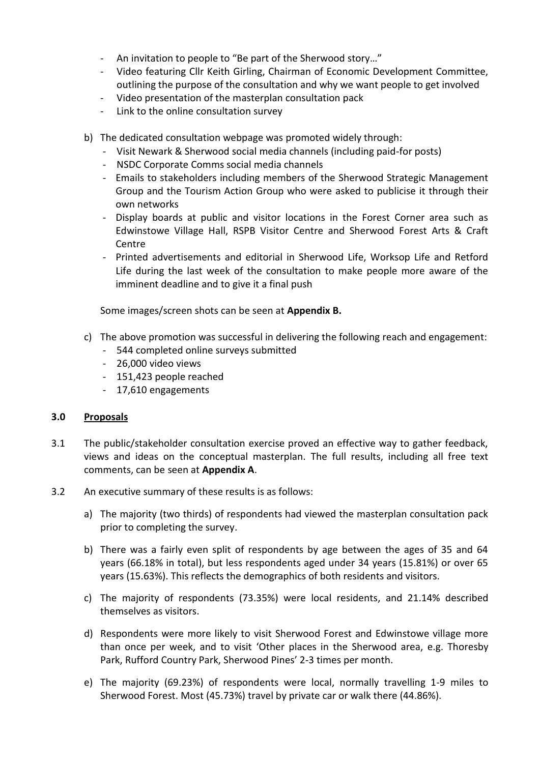- An invitation to people to "Be part of the Sherwood story..."
- Video featuring Cllr Keith Girling, Chairman of Economic Development Committee, outlining the purpose of the consultation and why we want people to get involved
- Video presentation of the masterplan consultation pack
- Link to the online consultation survey
- b) The dedicated consultation webpage was promoted widely through:
	- Visit Newark & Sherwood social media channels (including paid-for posts)
	- NSDC Corporate Comms social media channels
	- Emails to stakeholders including members of the Sherwood Strategic Management Group and the Tourism Action Group who were asked to publicise it through their own networks
	- Display boards at public and visitor locations in the Forest Corner area such as Edwinstowe Village Hall, RSPB Visitor Centre and Sherwood Forest Arts & Craft Centre
	- Printed advertisements and editorial in Sherwood Life, Worksop Life and Retford Life during the last week of the consultation to make people more aware of the imminent deadline and to give it a final push

Some images/screen shots can be seen at **Appendix B.**

- c) The above promotion was successful in delivering the following reach and engagement:
	- 544 completed online surveys submitted
	- 26,000 video views
	- 151,423 people reached
	- 17,610 engagements

#### **3.0 Proposals**

- 3.1 The public/stakeholder consultation exercise proved an effective way to gather feedback, views and ideas on the conceptual masterplan. The full results, including all free text comments, can be seen at **Appendix A**.
- 3.2 An executive summary of these results is as follows:
	- a) The majority (two thirds) of respondents had viewed the masterplan consultation pack prior to completing the survey.
	- b) There was a fairly even split of respondents by age between the ages of 35 and 64 years (66.18% in total), but less respondents aged under 34 years (15.81%) or over 65 years (15.63%). This reflects the demographics of both residents and visitors.
	- c) The majority of respondents (73.35%) were local residents, and 21.14% described themselves as visitors.
	- d) Respondents were more likely to visit Sherwood Forest and Edwinstowe village more than once per week, and to visit 'Other places in the Sherwood area, e.g. Thoresby Park, Rufford Country Park, Sherwood Pines' 2-3 times per month.
	- e) The majority (69.23%) of respondents were local, normally travelling 1-9 miles to Sherwood Forest. Most (45.73%) travel by private car or walk there (44.86%).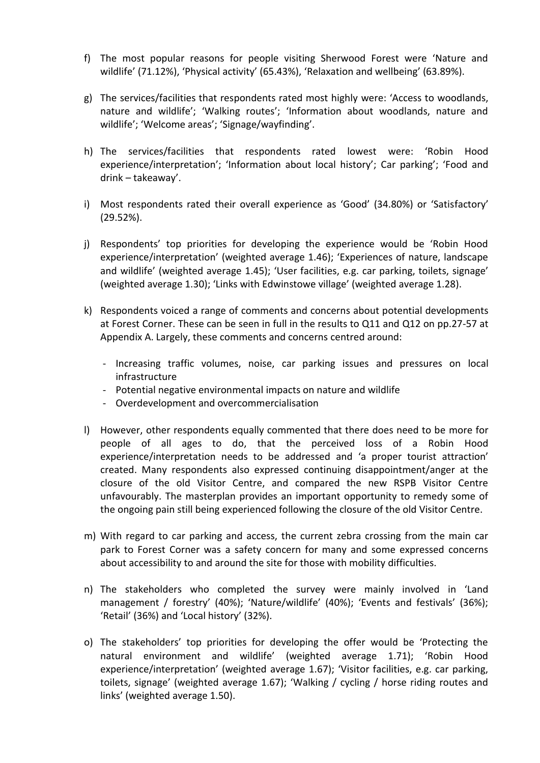- f) The most popular reasons for people visiting Sherwood Forest were 'Nature and wildlife' (71.12%), 'Physical activity' (65.43%), 'Relaxation and wellbeing' (63.89%).
- g) The services/facilities that respondents rated most highly were: 'Access to woodlands, nature and wildlife'; 'Walking routes'; 'Information about woodlands, nature and wildlife'; 'Welcome areas'; 'Signage/wayfinding'.
- h) The services/facilities that respondents rated lowest were: 'Robin Hood experience/interpretation'; 'Information about local history'; Car parking'; 'Food and drink – takeaway'.
- i) Most respondents rated their overall experience as 'Good' (34.80%) or 'Satisfactory' (29.52%).
- j) Respondents' top priorities for developing the experience would be 'Robin Hood experience/interpretation' (weighted average 1.46); 'Experiences of nature, landscape and wildlife' (weighted average 1.45); 'User facilities, e.g. car parking, toilets, signage' (weighted average 1.30); 'Links with Edwinstowe village' (weighted average 1.28).
- k) Respondents voiced a range of comments and concerns about potential developments at Forest Corner. These can be seen in full in the results to Q11 and Q12 on pp.27-57 at Appendix A. Largely, these comments and concerns centred around:
	- Increasing traffic volumes, noise, car parking issues and pressures on local infrastructure
	- Potential negative environmental impacts on nature and wildlife
	- Overdevelopment and overcommercialisation
- l) However, other respondents equally commented that there does need to be more for people of all ages to do, that the perceived loss of a Robin Hood experience/interpretation needs to be addressed and 'a proper tourist attraction' created. Many respondents also expressed continuing disappointment/anger at the closure of the old Visitor Centre, and compared the new RSPB Visitor Centre unfavourably. The masterplan provides an important opportunity to remedy some of the ongoing pain still being experienced following the closure of the old Visitor Centre.
- m) With regard to car parking and access, the current zebra crossing from the main car park to Forest Corner was a safety concern for many and some expressed concerns about accessibility to and around the site for those with mobility difficulties.
- n) The stakeholders who completed the survey were mainly involved in 'Land management / forestry' (40%); 'Nature/wildlife' (40%); 'Events and festivals' (36%); 'Retail' (36%) and 'Local history' (32%).
- o) The stakeholders' top priorities for developing the offer would be 'Protecting the natural environment and wildlife' (weighted average 1.71); 'Robin Hood experience/interpretation' (weighted average 1.67); 'Visitor facilities, e.g. car parking, toilets, signage' (weighted average 1.67); 'Walking / cycling / horse riding routes and links' (weighted average 1.50).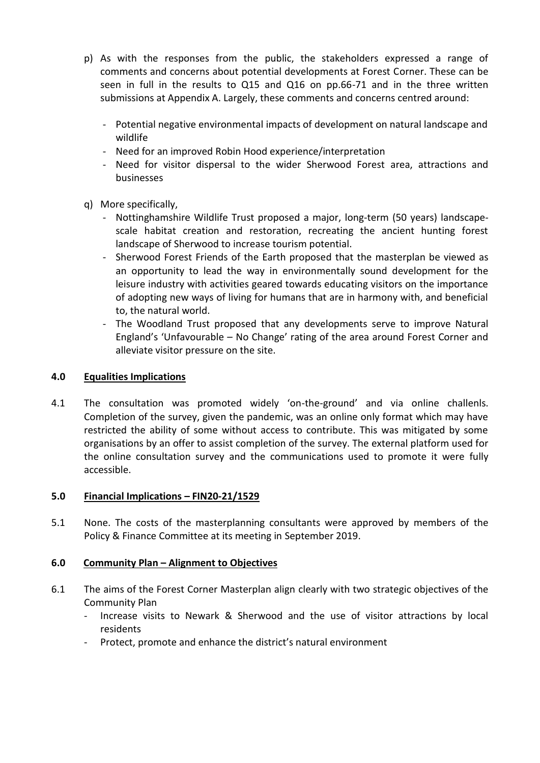- p) As with the responses from the public, the stakeholders expressed a range of comments and concerns about potential developments at Forest Corner. These can be seen in full in the results to Q15 and Q16 on pp.66-71 and in the three written submissions at Appendix A. Largely, these comments and concerns centred around:
	- Potential negative environmental impacts of development on natural landscape and wildlife
	- Need for an improved Robin Hood experience/interpretation
	- Need for visitor dispersal to the wider Sherwood Forest area, attractions and businesses
- q) More specifically,
	- Nottinghamshire Wildlife Trust proposed a major, long-term (50 years) landscapescale habitat creation and restoration, recreating the ancient hunting forest landscape of Sherwood to increase tourism potential.
	- Sherwood Forest Friends of the Earth proposed that the masterplan be viewed as an opportunity to lead the way in environmentally sound development for the leisure industry with activities geared towards educating visitors on the importance of adopting new ways of living for humans that are in harmony with, and beneficial to, the natural world.
	- The Woodland Trust proposed that any developments serve to improve Natural England's 'Unfavourable – No Change' rating of the area around Forest Corner and alleviate visitor pressure on the site.

### **4.0 Equalities Implications**

4.1 The consultation was promoted widely 'on-the-ground' and via online challenls. Completion of the survey, given the pandemic, was an online only format which may have restricted the ability of some without access to contribute. This was mitigated by some organisations by an offer to assist completion of the survey. The external platform used for the online consultation survey and the communications used to promote it were fully accessible.

#### **5.0 Financial Implications – FIN20-21/1529**

5.1 None. The costs of the masterplanning consultants were approved by members of the Policy & Finance Committee at its meeting in September 2019.

# **6.0 Community Plan – Alignment to Objectives**

- 6.1 The aims of the Forest Corner Masterplan align clearly with two strategic objectives of the Community Plan
	- Increase visits to Newark & Sherwood and the use of visitor attractions by local residents
	- Protect, promote and enhance the district's natural environment